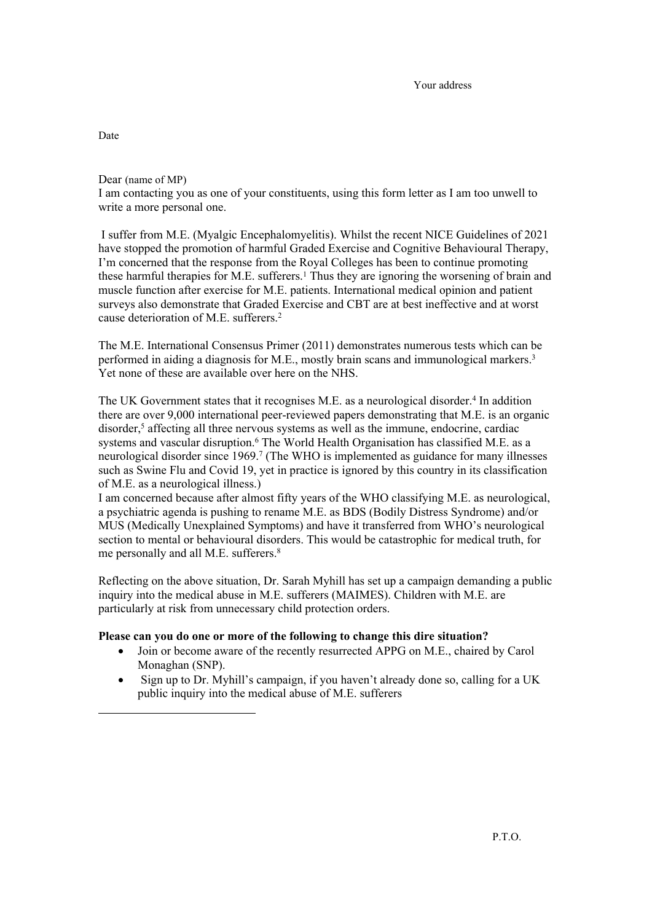Dear (name of MP) I am contacting you as one of your constituents, using this form letter as I am too unwell to write a more personal one.

 I suffer from M.E. (Myalgic Encephalomyelitis). Whilst the recent NICE Guidelines of 2021 have stopped the promotion of harmful Graded Exercise and Cognitive Behavioural Therapy, I'm concerned that the response from the Royal Colleges has been to continue promoting these harmful therapies for M.E. sufferers.<sup>1</sup> Thus they are ignoring the worsening of brain and muscle function after exercise for M.E. patients. International medical opinion and patient surveys also demonstrate that Graded Exercise and CBT are at best ineffective and at worst cause deterioration of M.E. sufferers.<sup>2</sup>

The M.E. International Consensus Primer (2011) demonstrates numerous tests which can be performed in aiding a diagnosis for M.E., mostly brain scans and immunological markers.<sup>3</sup> Yet none of these are available over here on the NHS.

The UK Government states that it recognises M.E. as a neurological disorder.<sup>4</sup> In addition there are over 9,000 international peer-reviewed papers demonstrating that M.E. is an organic disorder,<sup>5</sup> affecting all three nervous systems as well as the immune, endocrine, cardiac systems and vascular disruption.<sup>6</sup> The World Health Organisation has classified M.E. as a neurological disorder since 1969.<sup>7</sup> (The WHO is implemented as guidance for many illnesses such as Swine Flu and Covid 19, yet in practice is ignored by this country in its classification of M.E. as a neurological illness.)

I am concerned because after almost fifty years of the WHO classifying M.E. as neurological, a psychiatric agenda is pushing to rename M.E. as BDS (Bodily Distress Syndrome) and/or MUS (Medically Unexplained Symptoms) and have it transferred from WHO's neurological section to mental or behavioural disorders. This would be catastrophic for medical truth, for me personally and all M.E. sufferers.<sup>8</sup>

Reflecting on the above situation, Dr. Sarah Myhill has set up a campaign demanding a public inquiry into the medical abuse in M.E. sufferers (MAIMES). Children with M.E. are particularly at risk from unnecessary child protection orders.

## **Please can you do one or more of the following to change this dire situation?**

- Join or become aware of the recently resurrected APPG on M.E., chaired by Carol Monaghan (SNP).
- Sign up to Dr. Myhill's campaign, if you haven't already done so, calling for a UK public inquiry into the medical abuse of M.E. sufferers

Date